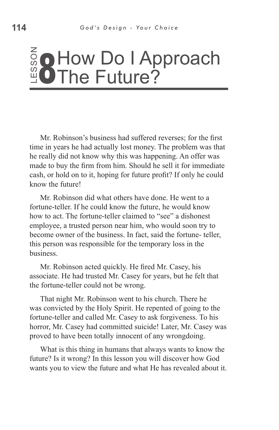#### ss o  $\frac{2}{9}$  How Do I Approach **8** How Do I Ap<br>**8** The Future?

Mr. Robinson's business had suffered reverses; for the first time in years he had actually lost money. The problem was that he really did not know why this was happening. An offer was made to buy the firm from him. Should he sell it for immediate cash, or hold on to it, hoping for future profit? If only he could know the future!

Mr. Robinson did what others have done. He went to a fortune-teller. If he could know the future, he would know how to act. The fortune-teller claimed to "see" a dishonest employee, a trusted person near him, who would soon try to become owner of the business. In fact, said the fortune- teller, this person was responsible for the temporary loss in the business. **EXECTS: CONTAT CONTICTS: We set the future in years he had actually lost money**. The problem was that he really did not know why this was happening. An offer was make to buy the firm from him. Should he sell it for im

Mr. Robinson acted quickly. He fired Mr. Casey, his associate. He had trusted Mr. Casey for years, but he felt that the fortune-teller could not be wrong.

That night Mr. Robinson went to his church. There he was convicted by the Holy Spirit. He repented of going to the fortune-teller and called Mr. Casey to ask forgiveness. To his horror, Mr. Casey had committed suicide! Later, Mr. Casey was proved to have been totally innocent of any wrongdoing.

What is this thing in humans that always wants to know the future? Is it wrong? In this lesson you will discover how God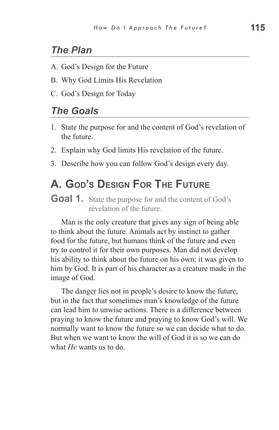#### *The Plan*

- A. God's Design for the Future
- B. Why God Limits His Revelation
- C. God's Design for Today

#### *The Goals*

- 1. State the purpose for and the content of God's revelation of the future.
- 2. Explain why God limits His revelation of the future.
- 3. Describe how you can follow God's design every day.

### **A. God's Design For The Future**

**Goal 1.** State the purpose for and the content of God's revelation of the future.

Man is the only creature that gives any sign of being able to think about the future. Animals act by instinct to gather food for the future, but humans think of the future and even try to control it for their own purposes. Man did not develop his ability to think about the future on his own; it was given to him by God. It is part of his character as a creature made in the image of God.

The danger lies not in people's desire to know the future, but in the fact that sometimes man's knowledge of the future can lead him to unwise actions. There is a difference between praying to know the future and praying to know God's will. We normally want to know the future so we can decide what to do. But when we want to know the will of God it is so we can do what *He* wants us to do.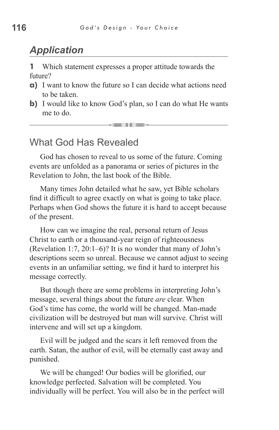### *Application*

**1** Which statement expresses a proper attitude towards the future?

- **a)** I want to know the future so I can decide what actions need to be taken.
- **b**) I would like to know God's plan, so I can do what He wants me to do.

**SHIFT** 

#### What God Has Revealed

God has chosen to reveal to us some of the future. Coming events are unfolded as a panorama or series of pictures in the Revelation to John, the last book of the Bible.

Many times John detailed what he saw, yet Bible scholars find it difficult to agree exactly on what is going to take place. Perhaps when God shows the future it is hard to accept because of the present.

How can we imagine the real, personal return of Jesus Christ to earth or a thousand-year reign of righteousness (Revelation 1:7, 20:1–6)? It is no wonder that many of John's descriptions seem so unreal. Because we cannot adjust to seeing events in an unfamiliar setting, we find it hard to interpret his message correctly.

But though there are some problems in interpreting John's message, several things about the future *are* clear. When God's time has come, the world will be changed. Man-made civilization will be destroyed but man will survive. Christ will intervene and will set up a kingdom.

Evil will be judged and the scars it left removed from the earth. Satan, the author of evil, will be eternally cast away and punished.

We will be changed! Our bodies will be glorified, our knowledge perfected. Salvation will be completed. You individually will be perfect. You will also be in the perfect will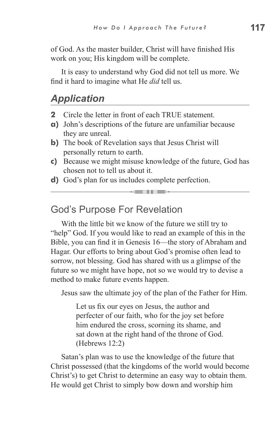of God. As the master builder, Christ will have finished His work on you; His kingdom will be complete.

It is easy to understand why God did not tell us more. We find it hard to imagine what He *did* tell us.

#### *Application*

- **2** Circle the letter in front of each TRUE statement.
- **a)** John's descriptions of the future are unfamiliar because they are unreal.
- **b**) The book of Revelation says that Jesus Christ will personally return to earth.
- **c)** Because we might misuse knowledge of the future, God has chosen not to tell us about it.

<u>sein dies</u>

**d)** God's plan for us includes complete perfection.

#### God's Purpose For Revelation

With the little bit we know of the future we still try to "help" God. If you would like to read an example of this in the Bible, you can find it in Genesis 16—the story of Abraham and Hagar. Our efforts to bring about God's promise often lead to sorrow, not blessing. God has shared with us a glimpse of the future so we might have hope, not so we would try to devise a method to make future events happen.

Jesus saw the ultimate joy of the plan of the Father for Him.

Let us fix our eyes on Jesus, the author and perfecter of our faith, who for the joy set before him endured the cross, scorning its shame, and sat down at the right hand of the throne of God. (Hebrews 12:2)

Satan's plan was to use the knowledge of the future that Christ possessed (that the kingdoms of the world would become Christ's) to get Christ to determine an easy way to obtain them. He would get Christ to simply bow down and worship him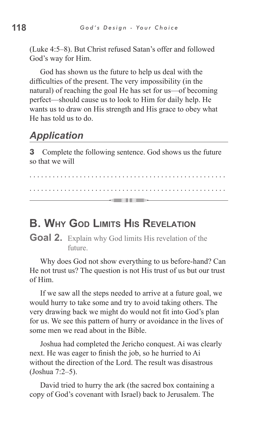(Luke 4:5–8). But Christ refused Satan's offer and followed God's way for Him.

God has shown us the future to help us deal with the difficulties of the present. The very impossibility (in the natural) of reaching the goal He has set for us—of becoming perfect—should cause us to look to Him for daily help. He wants us to draw on His strength and His grace to obey what He has told us to do.

### *Application*

**3** Complete the following sentence. God shows us the future so that we will

. . . . . . . . . . . . . . . . . . . . . . . . . . . . . . . . . . . . . . . . . . . . . . . . . . . . . . . . . . . . . . . . . . . . . . . . . . . . . . . . . . . . . . . . . . . . . . . . . . . . . . <u> — collition – </u>

### **B. Why God Limits His Revelation**

Goal 2. Explain why God limits His revelation of the future.

Why does God not show everything to us before-hand? Can He not trust us? The question is not His trust of us but our trust of Him.

If we saw all the steps needed to arrive at a future goal, we would hurry to take some and try to avoid taking others. The very drawing back we might do would not fit into God's plan for us. We see this pattern of hurry or avoidance in the lives of some men we read about in the Bible.

Joshua had completed the Jericho conquest. Ai was clearly next. He was eager to finish the job, so he hurried to Ai without the direction of the Lord. The result was disastrous (Joshua 7:2–5).

David tried to hurry the ark (the sacred box containing a copy of God's covenant with Israel) back to Jerusalem. The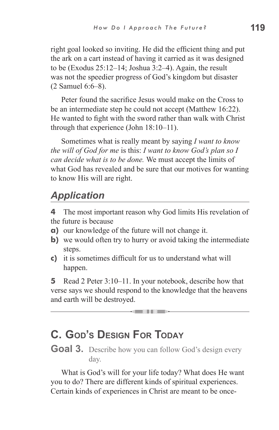right goal looked so inviting. He did the efficient thing and put the ark on a cart instead of having it carried as it was designed to be (Exodus 25:12–14; Joshua 3:2–4). Again, the result was not the speedier progress of God's kingdom but disaster (2 Samuel 6:6–8).

Peter found the sacrifice Jesus would make on the Cross to be an intermediate step he could not accept (Matthew 16:22). He wanted to fight with the sword rather than walk with Christ through that experience (John 18:10–11).

Sometimes what is really meant by saying *I want to know the will of God for me* is this: *I want to know God's plan so I can decide what is to be done.* We must accept the limits of what God has revealed and be sure that our motives for wanting to know His will are right.

# *Application*

**4** The most important reason why God limits His revelation of the future is because

- **a)** our knowledge of the future will not change it.
- **b**) we would often try to hurry or avoid taking the intermediate steps.
- **c)** it is sometimes difficult for us to understand what will happen.

**5** Read 2 Peter 3:10–11. In your notebook, describe how that verse says we should respond to the knowledge that the heavens and earth will be destroyed.

\_\_\_\_\_

# **C. God's Design For Today**

**Goal 3.** Describe how you can follow God's design every day.

What is God's will for your life today? What does He want you to do? There are different kinds of spiritual experiences. Certain kinds of experiences in Christ are meant to be once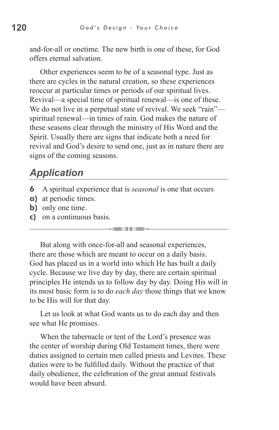and-for-all or onetime. The new birth is one of these, for God offers eternal salvation.

Other experiences seem to be of a seasonal type. Just as there are cycles in the natural creation, so these experiences reoccur at particular times or periods of our spiritual lives. Revival—a special time of spiritual renewal—is one of these. We do not live in a perpetual state of revival. We seek "rain" spiritual renewal—in times of rain. God makes the nature of these seasons clear through the ministry of His Word and the Spirit. Usually there are signs that indicate both a need for revival and God's desire to send one, just as in nature there are signs of the coming seasons.

#### *Application*

- **6** A spiritual experience that is *seasonal* is one that occurs
- **a)** at periodic times.
- **b)** only one time.
- **c)** on a continuous basis.

But along with once-for-all and seasonal experiences, there are those which are meant to occur on a daily basis. God has placed us in a world into which He has built a daily cycle. Because we live day by day, there are certain spiritual principles He intends us to follow day by day. Doing His will in its most basic form is to do *each day* those things that we know to be His will for that day.

. . .

Let us look at what God wants us to do each day and then see what He promises.

When the tabernacle or tent of the Lord's presence was the center of worship during Old Testament times, there were duties assigned to certain men called priests and Levites. These duties were to be fulfilled daily. Without the practice of that daily obedience, the celebration of the great annual festivals would have been absurd.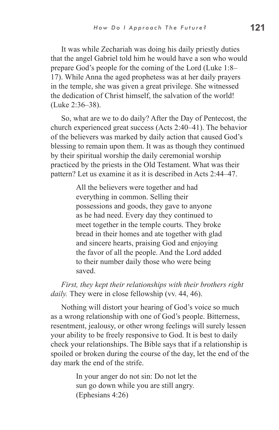It was while Zechariah was doing his daily priestly duties that the angel Gabriel told him he would have a son who would prepare God's people for the coming of the Lord (Luke 1:8– 17). While Anna the aged prophetess was at her daily prayers in the temple, she was given a great privilege. She witnessed the dedication of Christ himself, the salvation of the world! (Luke 2:36–38).

So, what are we to do daily? After the Day of Pentecost, the church experienced great success (Acts 2:40–41). The behavior of the believers was marked by daily action that caused God's blessing to remain upon them. It was as though they continued by their spiritual worship the daily ceremonial worship practiced by the priests in the Old Testament. What was their pattern? Let us examine it as it is described in Acts 2:44–47.

> All the believers were together and had everything in common. Selling their possessions and goods, they gave to anyone as he had need. Every day they continued to meet together in the temple courts. They broke bread in their homes and ate together with glad and sincere hearts, praising God and enjoying the favor of all the people. And the Lord added to their number daily those who were being saved.

*First, they kept their relationships with their brothers right daily.* They were in close fellowship (vv. 44, 46).

Nothing will distort your hearing of God's voice so much as a wrong relationship with one of God's people. Bitterness, resentment, jealousy, or other wrong feelings will surely lessen your ability to be freely responsive to God. It is best to daily check your relationships. The Bible says that if a relationship is spoiled or broken during the course of the day, let the end of the day mark the end of the strife.

> In your anger do not sin: Do not let the sun go down while you are still angry. (Ephesians 4:26)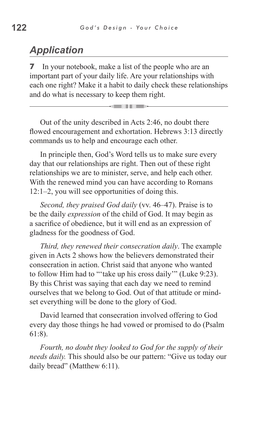### *Application*

**7** In your notebook, make a list of the people who are an important part of your daily life. Are your relationships with each one right? Make it a habit to daily check these relationships and do what is necessary to keep them right.

an an a

Out of the unity described in Acts 2:46, no doubt there flowed encouragement and exhortation. Hebrews 3:13 directly commands us to help and encourage each other.

In principle then, God's Word tells us to make sure every day that our relationships are right. Then out of these right relationships we are to minister, serve, and help each other. With the renewed mind you can have according to Romans 12:1–2, you will see opportunities of doing this.

*Second, they praised God daily* (vv. 46–47). Praise is to be the daily *expression* of the child of God. It may begin as a sacrifice of obedience, but it will end as an expression of gladness for the goodness of God.

*Third, they renewed their consecration daily*. The example given in Acts 2 shows how the believers demonstrated their consecration in action. Christ said that anyone who wanted to follow Him had to "'take up his cross daily'" (Luke 9:23). By this Christ was saying that each day we need to remind ourselves that we belong to God. Out of that attitude or mindset everything will be done to the glory of God.

David learned that consecration involved offering to God every day those things he had vowed or promised to do (Psalm 61:8).

*Fourth, no doubt they looked to God for the supply of their needs daily.* This should also be our pattern: "Give us today our daily bread" (Matthew 6:11).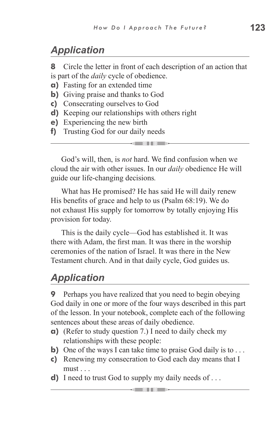# *Application*

**8** Circle the letter in front of each description of an action that is part of the *daily* cycle of obedience.

- **a)** Fasting for an extended time
- **b**) Giving praise and thanks to God
- **c)** Consecrating ourselves to God
- **d)** Keeping our relationships with others right
- **e)** Experiencing the new birth
- **f)** Trusting God for our daily needs

God's will, then, is *not* hard. We find confusion when we cloud the air with other issues. In our *daily* obedience He will guide our life-changing decisions*.*

 $\sim$  and it is the  $-$ 

What has He promised? He has said He will daily renew His benefits of grace and help to us (Psalm 68:19). We do not exhaust His supply for tomorrow by totally enjoying His provision for today.

This is the daily cycle—God has established it. It was there with Adam, the first man. It was there in the worship ceremonies of the nation of Israel. It was there in the New Testament church. And in that daily cycle, God guides us.

# *Application*

**9** Perhaps you have realized that you need to begin obeying God daily in one or more of the four ways described in this part of the lesson. In your notebook, complete each of the following sentences about these areas of daily obedience.

- **a)** (Refer to study question 7.) I need to daily check my relationships with these people:
- **b**) One of the ways I can take time to praise God daily is to ...
- **c)** Renewing my consecration to God each day means that I must ...
- **d)** I need to trust God to supply my daily needs of . . .